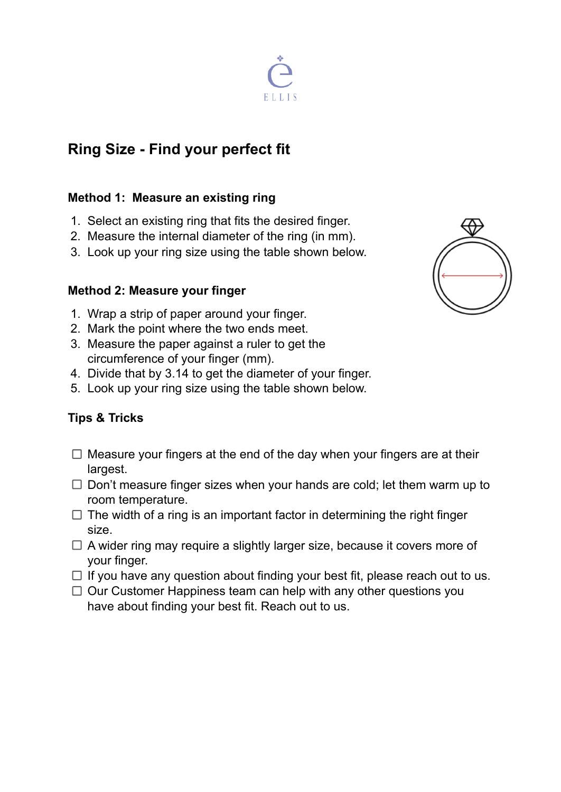# **Ring Size - Find your perfect fit**

### **Method 1: Measure an existing ring**

- 1. Select an existing ring that fits the desired finger.
- 2. Measure the internal diameter of the ring (in mm).
- 3. Look up your ring size using the table shown below.

### **Method 2: Measure your finger**

- 1. Wrap a strip of paper around your finger.
- 2. Mark the point where the two ends meet.
- 3. Measure the paper against a ruler to get the circumference of your finger (mm).
- 4. Divide that by 3.14 to get the diameter of your finger.
- 5. Look up your ring size using the table shown below.

## **Tips & Tricks**

- $\Box$  Measure your fingers at the end of the day when your fingers are at their largest.
- $\Box$  Don't measure finger sizes when your hands are cold; let them warm up to room temperature.
- $\Box$  The width of a ring is an important factor in determining the right finger size.
- $\Box$  A wider ring may require a slightly larger size, because it covers more of your finger.
- $\Box$  If you have any question about finding your best fit, please reach out to us.
- $\Box$  Our Customer Happiness team can help with any other questions you have about finding your best fit. Reach out to us.



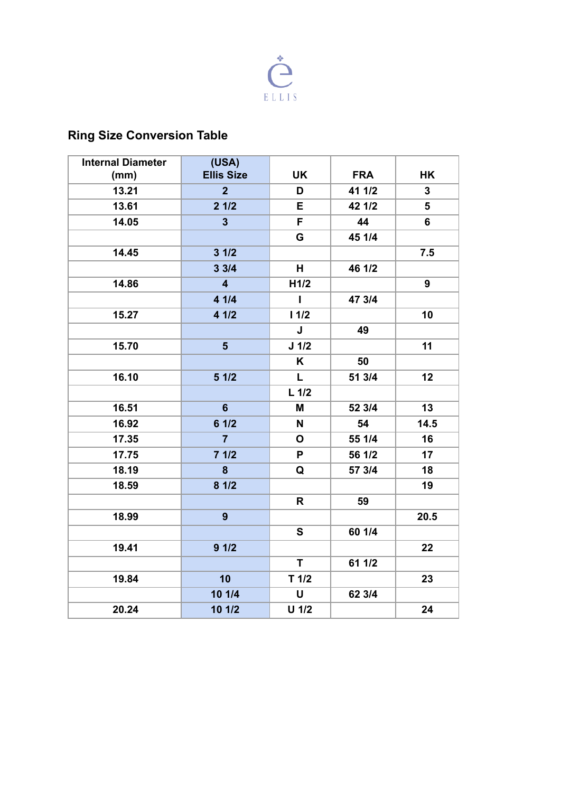

## **Ring Size Conversion Table**

| <b>Internal Diameter</b> | (USA)                   |                          |            |                 |
|--------------------------|-------------------------|--------------------------|------------|-----------------|
| (mm)                     | <b>Ellis Size</b>       | <b>UK</b>                | <b>FRA</b> | HK              |
| 13.21                    | 2 <sup>2</sup>          | D                        | 41 1/2     | 3               |
| 13.61                    | 21/2                    | E                        | 42 1/2     | $5\phantom{.0}$ |
| 14.05                    | $\mathbf{3}$            | F                        | 44         | 6               |
|                          |                         | G                        | 45 1/4     |                 |
| 14.45                    | 31/2                    |                          |            | 7.5             |
|                          | 33/4                    | H                        | 46 1/2     |                 |
| 14.86                    | $\overline{\mathbf{4}}$ | H1/2                     |            | 9               |
|                          | 4 1/4                   | $\mathbf{I}$             | 47 3/4     |                 |
| 15.27                    | 4 1/2                   | 11/2                     |            | 10              |
|                          |                         | J                        | 49         |                 |
| 15.70                    | 5 <sup>5</sup>          | $J$ 1/2                  |            | 11              |
|                          |                         | Κ                        | 50         |                 |
| 16.10                    | 51/2                    | L                        | 51 3/4     | 12              |
|                          |                         | $L$ 1/2                  |            |                 |
| 16.51                    | $6\phantom{1}$          | M                        | 52 3/4     | 13              |
| 16.92                    | 61/2                    | N                        | 54         | 14.5            |
| 17.35                    | $\overline{7}$          | $\mathbf{o}$             | 55 1/4     | 16              |
| 17.75                    | 71/2                    | P                        | 56 1/2     | 17              |
| 18.19                    | 8                       | Q                        | 57 3/4     | 18              |
| 18.59                    | 81/2                    |                          |            | 19              |
|                          |                         | R                        | 59         |                 |
| 18.99                    | 9                       |                          |            | 20.5            |
|                          |                         | S                        | 60 1/4     |                 |
| 19.41                    | 91/2                    |                          |            | 22              |
|                          |                         | T.                       | 61 1/2     |                 |
| 19.84                    | 10                      | $T$ 1/2                  |            | 23              |
|                          | 10 1/4                  | $\pmb{\pmb{\pmb{\cup}}}$ | 62 3/4     |                 |
| 20.24                    | 10 1/2                  | $U$ 1/2                  |            | 24              |